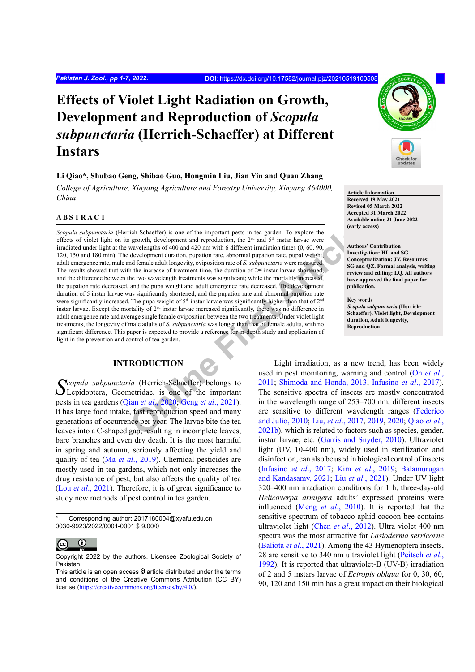# **Effects of Violet Light Radiation on Growth, Development and Reproduction of** *Scopula subpunctaria* **(Herrich-Schaeffer) at Different Instars**

## **Li Qiao\*, Shubao Geng, Shibao Guo, Hongmin Liu, Jian Yin and Quan Zhang**

*College of Agriculture, Xinyang Agriculture and Forestry University, Xinyang 464000, China*

### **ABSTRACT**

[i](#page-5-0)ch-Schaeffer) is one of the important pests in tea garden. To explore the<br>
growth, development and reproduction, the 2<sup>24</sup> and 5<sup>46</sup> instar larve were<br>
awavelengths of 400 and 420 nm with 6 different irradiation times (0 *Scopula subpunctaria* (Herrich-Schaeffer) is one of the important pests in tea garden. To explore the effects of violet light on its growth, development and reproduction, the  $2<sup>nd</sup>$  and  $5<sup>th</sup>$  instar larvae were irradiated under light at the wavelengths of 400 and 420 nm with 6 different irradiation times (0, 60, 90, 120, 150 and 180 min). The development duration, pupation rate, abnormal pupation rate, pupal weight, adult emergence rate, male and female adult longevity, oviposition rate of *S. subpunctaria* were measured. The results showed that with the increase of treatment time, the duration of  $2<sup>nd</sup>$  instar larvae shortened, and the difference between the two wavelength treatments was significant; while the mortality increased, the pupation rate decreased, and the pupa weight and adult emergence rate decreased. The development duration of 5 instar larvae was significantly shortened, and the pupation rate and abnormal pupation rate were significantly increased. The pupa weight of 5<sup>th</sup> instar larvae was significantly higher than that of 2<sup>nd</sup> instar larvae. Except the mortality of 2nd instar larvae increased significantly, there was no difference in adult emergence rate and average single female oviposition between the two treatments. Under violet light treatments, the longevity of male adults of *S. subpunctaria* was longer than that of female adults, with no significant difference. This paper is expected to provide a reference for in-depth study and application of light in the prevention and control of tea garden.

# **INTRODUCTION**

*Scopula subpunctaria* (Herrich-Schaeffer) belongs to Lepidoptera, Geometridae, is one of the important pests in tea gardens (Qian *et al*., 2020; Geng *et al*., 2021). It has large food intake, fast reproduction speed and many generations of occurrence per year. The larvae bite the tea leaves into a C-shaped gap, resulting in incomplete leaves, bare branches and even dry death. It is the most harmful in spring and autumn, seriously affecting the yield and quality of tea (Ma *et al*[., 2019\)](#page-6-1). Chemical pesticides are mostly used in tea gardens, which not only increases the drug resistance of pest, but also affects the quality of tea (Lou *et al*[., 2021](#page-6-2)). Therefore, it is of great significance to study new methods of pest control in tea garden.

Corresponding author: 2017180004@xyafu.edu.cn 0030-9923/2022/0001-0001 \$ 9.00/0



Copyright 2022 by the authors. Licensee Zoological Society of Pakistan.



#### **Article Information Received 19 May 2021**

**Revised 05 March 2022 Accepted 31 March 2022 Available online 21 June 2022 (early access)**

#### **Authors' Contribution**

**Investigation: HL and SG. Conceptualization: JY. Resources: SG and QZ. Formal analysis, writing review and editing: LQ. All authors have approved the final paper for publication.**

#### **Key words**

*Scopula subpunctaria* **(Herrich-Schaeffer), Violet light, Development duration, Adult longevity, Reproduction**

Light irradiation, as a new trend, has been widely used in pest monitoring, warning and control (Oh *[et al](#page-6-3)*., 2011; Shimoda and Honda, 2013; [Infusino](#page-6-5) *et al*., 2017). The sensitive spectra of insects are mostly concentrated in the wavelength range of 253–700 nm, different insects are sensitive to different wavelength ranges [\(Federico](#page-5-1) and Julio, 2010; Liu, *et al*., 2017, [2019,](#page-6-7) [2020](#page-6-8); [Qiao](#page-6-9) *et al*., 2021b), which is related to factors such as species, gender, instar larvae, etc. [\(Garris and Snyder, 2010](#page-5-2)). Ultraviolet light (UV, 10-400 nm), widely used in sterilization and disinfection, can also be used in biological control of insects [\(Infusino](#page-6-5) *et al*., 2017; Kim *et al*[., 2019](#page-6-10); [Balamurugan](#page-5-3) [and Kandasamy, 2021](#page-5-3); Liu *et al*[., 2021](#page-6-11)). Under UV light 320–400 nm irradiation conditions for 1 h, three-day-old *Helicoverpa armigera* adults' expressed proteins were influenced (Meng *et al*[., 2010](#page-6-12)). It is reported that the sensitive spectrum of tobacco aphid cocoon bee contains ultraviolet light (Chen *et al*[., 2012](#page-5-4)). Ultra violet 400 nm spectra was the most attractive for *Lasioderma serricorne* [\(Baliota](#page-5-5) *et al*., 2021). Among the 43 Hymenoptera insects, 28 are sensitive to 340 nm ultraviolet light ([Peitsch](#page-6-13) *et al*., [1992\)](#page-6-13). It is reported that ultraviolet-B (UV-B) irradiation of 2 and 5 instars larvae of *Ectropis oblqua* for 0, 30, 60, 90, 120 and 150 min has a great impact on their biological

This article is an open access  $\Theta$  article distributed under the terms and conditions of the Creative Commons Attribution (CC BY) license (<https://creativecommons.org/licenses/by/4.0/>).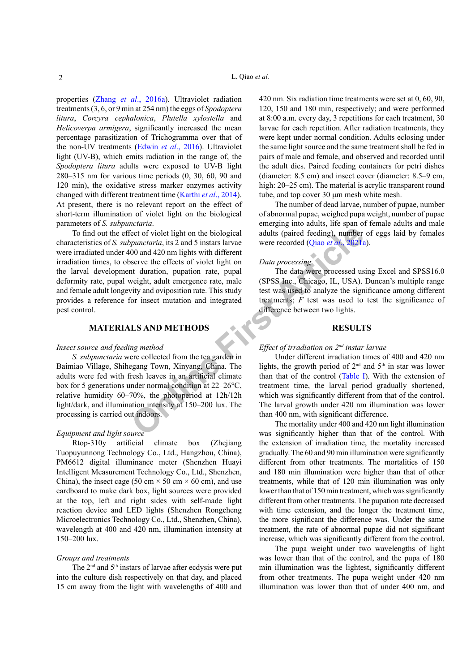properties (Zhang *et al*[., 2016a\)](#page-6-14). Ultraviolet radiation treatments (3, 6, or 9 min at 254 nm) the eggs of *Spodoptera litura*, *Corcyra cephalonica*, *Plutella xylostella* and *Helicoverpa armigera*, significantly increased the mean percentage parasitization of Trichogramma over that of the non-UV treatments (Edwin *et al*[., 2016](#page-5-6)). Ultraviolet light (UV-B), which emits radiation in the range of, the *Spodoptera litura* adults were exposed to UV-B light 280–315 nm for various time periods (0, 30, 60, 90 and 120 min), the oxidative stress marker enzymes activity changed with different treatment time [\(Karthi](#page-6-15) *et al*., 2014). At present, there is no relevant report on the effect of short-term illumination of violet light on the biological parameters of *S. subpunctaria*.

From the biological<br>
Sect of violet light on the biological<br>
Old and 420 m lights with different<br>
Old and 420 m lights with different<br>
Old and 420 m lights with different<br>
Serve the effects of violet light on<br> *Data proces* To find out the effect of violet light on the biological characteristics of *S. subpunctaria*, its 2 and 5 instars larvae were irradiated under 400 and 420 nm lights with different irradiation times, to observe the effects of violet light on the larval development duration, pupation rate, pupal deformity rate, pupal weight, adult emergence rate, male and female adult longevity and oviposition rate. This study provides a reference for insect mutation and integrated pest control.

#### **MATERIALS AND METHODS**

#### *Insect source and feeding method*

*S. subpunctaria* were collected from the tea garden in Baimiao Village, Shihegang Town, Xinyang, China. The adults were fed with fresh leaves in an artificial climate box for 5 generations under normal condition at 22–26°C, relative humidity 60–70%, the photoperiod at 12h/12h light/dark, and illumination intensity at 150–200 lux. The processing is carried out indoors.

#### *Equipment and light source*

Rtop-310y artificial climate box (Zhejiang Tuopuyunnong Technology Co., Ltd., Hangzhou, China), PM6612 digital illuminance meter (Shenzhen Huayi Intelligent Measurement Technology Co., Ltd., Shenzhen, China), the insect cage (50 cm  $\times$  50 cm  $\times$  60 cm), and use cardboard to make dark box, light sources were provided at the top, left and right sides with self-made light reaction device and LED lights (Shenzhen Rongcheng Microelectronics Technology Co., Ltd., Shenzhen, China), wavelength at 400 and 420 nm, illumination intensity at 150–200 lux.

#### *Groups and treatments*

The 2<sup>nd</sup> and 5<sup>th</sup> instars of larvae after ecdysis were put into the culture dish respectively on that day, and placed 15 cm away from the light with wavelengths of 400 and 420 nm. Six radiation time treatments were set at 0, 60, 90, 120, 150 and 180 min, respectively; and were performed at 8:00 a.m. every day, 3 repetitions for each treatment, 30 larvae for each repetition. After radiation treatments, they were kept under normal condition. Adults eclosing under the same light source and the same treatment shall be fed in pairs of male and female, and observed and recorded until the adult dies. Paired feeding containers for petri dishes (diameter: 8.5 cm) and insect cover (diameter: 8.5–9 cm, high:  $20-25$  cm). The material is acrylic transparent round tube, and top cover 30 μm mesh white mesh.

The number of dead larvae, number of pupae, number of abnormal pupae, weighed pupa weight, number of pupae emerging into adults, life span of female adults and male adults (paired feeding), number of eggs laid by females were recorded (Qiao *et al*., 2021a).

## *Data processing*

The data were processed using Excel and SPSS16.0 (SPSS Inc., Chicago, IL, USA). Duncan's multiple range test was used to analyze the significance among different treatments; *F* test was used to test the significance of difference between two lights.

## **RESULTS**

## *Effect of irradiation on 2nd instar larvae*

Under different irradiation times of 400 and 420 nm lights, the growth period of  $2<sup>nd</sup>$  and  $5<sup>th</sup>$  in star was lower than that of the control (Table I). With the extension of treatment time, the larval period gradually shortened, which was significantly different from that of the control. The larval growth under 420 nm illumination was lower than 400 nm, with significant difference.

The mortality under 400 and 420 nm light illumination was significantly higher than that of the control. With the extension of irradiation time, the mortality increased gradually. The 60 and 90 min illumination were significantly different from other treatments. The mortalities of 150 and 180 min illumination were higher than that of other treatments, while that of 120 min illumination was only lower than that of 150 min treatment, which was significantly different from other treatments. The pupation rate decreased with time extension, and the longer the treatment time, the more significant the difference was. Under the same treatment, the rate of abnormal pupae did not significant increase, which was significantly different from the control.

The pupa weight under two wavelengths of light was lower than that of the control, and the pupa of 180 min illumination was the lightest, significantly different from other treatments. The pupa weight under 420 nm illumination was lower than that of under 400 nm, and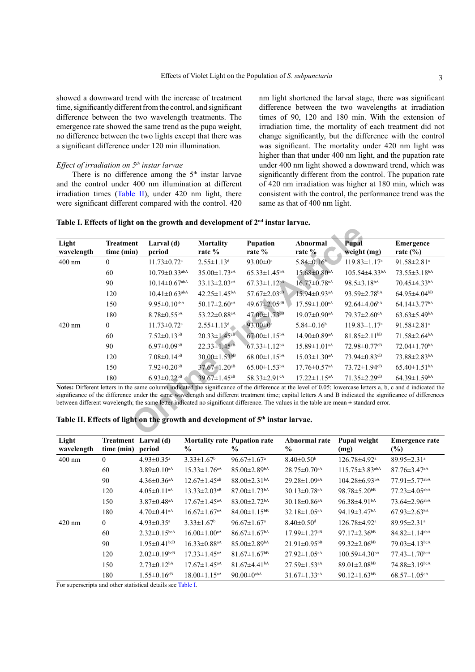showed a downward trend with the increase of treatment time, significantly different from the control, and significant difference between the two wavelength treatments. The emergence rate showed the same trend as the pupa weight, no difference between the two lights except that there was a significant difference under 120 min illumination.

# *Effect of irradiation on 5th instar larvae*

There is no difference among the  $5<sup>th</sup>$  instar larvae and the control under 400 nm illumination at different irradiation times [\(Table II](#page-2-1)), under 420 nm light, there were significant different compared with the control. 420 nm light shortened the larval stage, there was significant difference between the two wavelengths at irradiation times of 90, 120 and 180 min. With the extension of irradiation time, the mortality of each treatment did not change significantly, but the difference with the control was significant. The mortality under 420 nm light was higher than that under 400 nm light, and the pupation rate under 400 nm light showed a downward trend, which was significantly different from the control. The pupation rate of 420 nm irradiation was higher at 180 min, which was consistent with the control, the performance trend was the same as that of 400 nm light.

<span id="page-2-0"></span>

|  |  |  | Table I. Effects of light on the growth and development of 2nd instar larvae. |  |  |  |
|--|--|--|-------------------------------------------------------------------------------|--|--|--|
|--|--|--|-------------------------------------------------------------------------------|--|--|--|

| <b>Treatment</b> | Larval (d)                      |                                |                                |                                |                                                                                            |                                                                                                                                                                                                                                                                                                                                                                                                                                                                   |
|------------------|---------------------------------|--------------------------------|--------------------------------|--------------------------------|--------------------------------------------------------------------------------------------|-------------------------------------------------------------------------------------------------------------------------------------------------------------------------------------------------------------------------------------------------------------------------------------------------------------------------------------------------------------------------------------------------------------------------------------------------------------------|
| time (min)       | period                          | <b>Mortality</b><br>rate %     | <b>Pupation</b><br>rate %      | Abnormal<br>rate %             | <b>Pupal</b><br>weight (mg)                                                                | Emergence<br>rate $(\% )$                                                                                                                                                                                                                                                                                                                                                                                                                                         |
| $\theta$         | $11.73 \pm 0.72$ <sup>a</sup>   | $2.55 \pm 1.13$ <sup>d</sup>   | 93.00 $\pm$ 0 <sup>a</sup>     | $5.84 \pm 0.16$                | $119.83 \pm 1.17$ <sup>a</sup>                                                             | 91.58 $\pm$ 2.81 <sup>a</sup>                                                                                                                                                                                                                                                                                                                                                                                                                                     |
| 60               | $10.79 \pm 0.33$ <sup>abA</sup> | $35.00 \pm 1.73$ <sup>cA</sup> | $65.33 \pm 1.45$ <sup>bA</sup> | $15.68 \pm 0.80$ <sup>aA</sup> | $105.54\pm4.33^{bA}$                                                                       | $73.55 \pm 3.18$ <sup>bA</sup>                                                                                                                                                                                                                                                                                                                                                                                                                                    |
| 90               | $10.14 \pm 0.67$ <sup>abA</sup> | $33.13 \pm 2.03$ <sup>cA</sup> | $67.33 \pm 1.12^{bA}$          | $16.77 \pm 0.78$ <sup>aA</sup> | $98.5 \pm 3.18^{bA}$                                                                       | $70.45 \pm 4.33$ <sup>bA</sup>                                                                                                                                                                                                                                                                                                                                                                                                                                    |
| 120              | $10.41 \pm 0.63$ <sup>abA</sup> | $42.25 \pm 1.45^{bA}$          | $57.67 \pm 2.03$ <sup>cB</sup> | $15.94 \pm 0.93$ <sup>aA</sup> | 93.59 $\pm$ 2.78 <sup>bA</sup>                                                             | $64.95\pm4.04^{b}$                                                                                                                                                                                                                                                                                                                                                                                                                                                |
| 150              | $9.95 \pm 0.10^{abA}$           | $50.17 \pm 2.60$ <sup>aA</sup> | 49.67±2.05 <sup>dB</sup>       | $17.59 \pm 1.00$ <sup>aA</sup> | $92.64 \pm 4.06$ <sup>bA</sup>                                                             | $64.14 \pm 3.77$ <sup>bA</sup>                                                                                                                                                                                                                                                                                                                                                                                                                                    |
| 180              | $8.78 \pm 0.55$ <sup>bA</sup>   | 53.22±0.88 <sup>aA</sup>       | 47.00±1.73dB                   | $19.07 \pm 0.90$ <sup>aA</sup> | $79.37 \pm 2.60$ <sup>cA</sup>                                                             | $63.63 \pm 5.49$ <sup>bA</sup>                                                                                                                                                                                                                                                                                                                                                                                                                                    |
| $\theta$         | $11.73 \pm 0.72$ <sup>a</sup>   | $2.55 \pm 1.13$ <sup>d</sup>   | $93.00 \pm 0^a$                | $5.84 \pm 0.16^b$              | $119.83 \pm 1.17$ <sup>a</sup>                                                             | $91.58 \pm 2.81$ <sup>a</sup>                                                                                                                                                                                                                                                                                                                                                                                                                                     |
| 60               | $7.52 \pm 0.13$ <sup>bB</sup>   | $20.33 \pm 1.45$ <sup>cB</sup> | $67.00 \pm 1.15^{bA}$          | $14.90 \pm 0.89$ <sup>aA</sup> | $81.85 \pm 2.11$ <sup>bB</sup>                                                             | $71.58 \pm 2.64$ <sup>bA</sup>                                                                                                                                                                                                                                                                                                                                                                                                                                    |
| 90               | $6.97 \pm 0.09$ <sup>bB</sup>   | $22.33 \pm 1.45$ <sup>cB</sup> | $67.33 \pm 1.12$ <sup>bA</sup> | $15.89 \pm 1.01$ <sup>aA</sup> | $72.98 \pm 0.77$ <sup>cB</sup>                                                             | $72.04 \pm 1.70$ <sup>bA</sup>                                                                                                                                                                                                                                                                                                                                                                                                                                    |
| 120              | $7.08 \pm 0.14$ <sup>bB</sup>   | $30.00 \pm 1.53^{bB}$          | $68.00 \pm 1.15^{bA}$          | $15.03 \pm 1.30$ <sup>aA</sup> | $73.94 \pm 0.83$ <sup>cB</sup>                                                             | 73.88±2.83bA                                                                                                                                                                                                                                                                                                                                                                                                                                                      |
| 150              | $7.92 \pm 0.20$ <sup>bB</sup>   | $37.67 \pm 1.20$ <sup>aB</sup> | $65.00 \pm 1.53$ <sup>bA</sup> | $17.76 \pm 0.57$ <sup>aA</sup> | $73.72 \pm 1.94$ <sup>cB</sup>                                                             | $65.40 \pm 1.51$ <sup>bA</sup>                                                                                                                                                                                                                                                                                                                                                                                                                                    |
| 180              | $6.93 \pm 0.22$ <sup>bB</sup>   | $39.67 \pm 1.45$ <sup>aB</sup> | 58.33±2.91 <sup>cA</sup>       | $17.22 \pm 1.15$ <sup>aA</sup> | $71.35 \pm 2.29$ <sup>cB</sup>                                                             | $64.39 \pm 1.59$ <sup>bA</sup>                                                                                                                                                                                                                                                                                                                                                                                                                                    |
|                  |                                 |                                |                                |                                |                                                                                            |                                                                                                                                                                                                                                                                                                                                                                                                                                                                   |
|                  |                                 |                                |                                |                                | Table II. Effects of light on the growth and development of 5 <sup>th</sup> instar larvae. | Notes: Different letters in the same column indicated the significance of the difference at the level of 0.05; lowercase letters a, b, c and d indicated the<br>significance of the difference under the same wavelength and different treatment time; capital letters A and B indicated the significance of differences<br>between different wavelength; the same letter indicated no significant difference. The values in the table are mean ± standard error. |

<span id="page-2-1"></span>

|  |  |  | Table II. Effects of light on the growth and development of 5 <sup>th</sup> instar larvae. |  |
|--|--|--|--------------------------------------------------------------------------------------------|--|
|--|--|--|--------------------------------------------------------------------------------------------|--|

| Light<br>wavelength | time (min)   | Treatment Larval (d)<br>period | $\frac{0}{0}$                  | <b>Mortality rate Pupation rate</b><br>$\frac{0}{0}$ | Abnormal rate<br>$\frac{0}{0}$ | <b>Pupal weight</b><br>(mg)      | <b>Emergence rate</b><br>$(\%)$ |
|---------------------|--------------|--------------------------------|--------------------------------|------------------------------------------------------|--------------------------------|----------------------------------|---------------------------------|
| $400$ nm            | $\mathbf{0}$ | $4.93 \pm 0.35$ <sup>a</sup>   | $3.33 \pm 1.67^b$              | $96.67 \pm 1.67$ <sup>a</sup>                        | $8.40 \pm 0.50^{\circ}$        | 126.78±4.92 <sup>a</sup>         | $89.95 \pm 2.31$ <sup>a</sup>   |
|                     | 60           | $3.89 \pm 0.10$ <sup>aA</sup>  | $15.33 \pm 1.76$ <sup>aA</sup> | $85.00 \pm 2.89$ <sup>bA</sup>                       | $28.75 \pm 0.70$ <sup>aA</sup> | $115.75 \pm 3.83$ <sup>abA</sup> | $87.76 \pm 3.47$ <sup>aA</sup>  |
|                     | 90           | $4.36 \pm 0.36$ <sup>aA</sup>  | $12.67 \pm 1.45$ <sup>aB</sup> | $88.00 \pm 2.31$ <sup>bA</sup>                       | $29.28 \pm 1.09$ <sup>aA</sup> | $104.28\pm 6.93bA$               | $77.91 \pm 5.77$ <sup>abA</sup> |
|                     | 120          | $4.05 \pm 0.11$ <sup>aA</sup>  | $13.33 \pm 2.03$ <sup>aB</sup> | $87.00 \pm 1.73$ <sup>bA</sup>                       | $30.13 \pm 0.78$ <sup>aA</sup> | $98.78 \pm 5.20$ <sup>bB</sup>   | $77.23 \pm 4.05$ <sup>abA</sup> |
|                     | 150          | $3.87 \pm 0.48$ <sup>aA</sup>  | $17.67 \pm 1.45$ <sup>aA</sup> | 83.00 $\pm$ 2.72 <sup>bA</sup>                       | $30.18 \pm 0.86$ <sup>aA</sup> | $96.38 \pm 4.91bA$               | $73.64 \pm 2.96$ <sup>abA</sup> |
|                     | 180          | $4.70 \pm 0.41$ <sup>aA</sup>  | $16.67 \pm 1.67$ <sup>aA</sup> | $84.00 \pm 1.15^{bB}$                                | 32.18 $\pm$ 1.05 <sup>aA</sup> | 94.19 $\pm$ 3.47 <sup>bA</sup>   | $67.93 \pm 2.63$ <sup>bA</sup>  |
| $420 \text{ nm}$    | $\mathbf{0}$ | $4.93 \pm 0.35$ <sup>a</sup>   | $3.33 \pm 1.67^b$              | $96.67 \pm 1.67$ <sup>a</sup>                        | $8.40 \pm 0.50$ <sup>d</sup>   | 126.78±4.92 <sup>a</sup>         | $89.95 \pm 2.31$ <sup>a</sup>   |
|                     | 60           | $2.32 \pm 0.15$ <sub>bcA</sub> | $16.00 \pm 1.00$ <sup>aA</sup> | $86.67 \pm 1.67$ <sup>bA</sup>                       | $17.99 \pm 1.27$ <sup>cB</sup> | 97.17 $\pm$ 2.36 <sup>bB</sup>   | $84.82 \pm 1.14^{abA}$          |
|                     | 90           | $1.95 \pm 0.41$ <sub>bcB</sub> | $16.33 \pm 0.88$ <sup>aA</sup> | $85.00 \pm 2.89$ <sup>bA</sup>                       | $21.91\pm 0.95^{bB}$           | 99.32 $\pm$ 2.06 <sup>bB</sup>   | $79.03 \pm 4.13$ bcA            |
|                     | 120          | $2.02\pm 0.19$ <sub>bcB</sub>  | $17.33 \pm 1.45$ <sup>aA</sup> | $81.67 \pm 1.67$ <sup>bB</sup>                       | $27.92 \pm 1.05$ <sup>aA</sup> | $100.59 \pm 4.30$ <sup>bA</sup>  | $77.43 \pm 1.70$ <sup>bcA</sup> |
|                     | 150          | $2.73 \pm 0.12$ <sup>bA</sup>  | $17.67 \pm 1.45$ <sup>aA</sup> | $81.67\pm4.41bA$                                     | $27.59 \pm 1.53$ <sup>aA</sup> | $89.01 \pm 2.08$ <sup>bB</sup>   | 74.88±3.19bcA                   |
|                     | 180          | $1.55 \pm 0.16$ <sup>cB</sup>  | $18.00 \pm 1.15$ <sup>aA</sup> | 90.00 $\pm$ 0 <sup>abA</sup>                         | 31.67 $\pm$ 1.33 <sup>aA</sup> | 90.12 $\pm$ 1.63 <sup>bB</sup>   | $68.57 \pm 1.05$ <sup>cA</sup>  |

For superscripts and other statistical details see [Table I.](#page-2-0)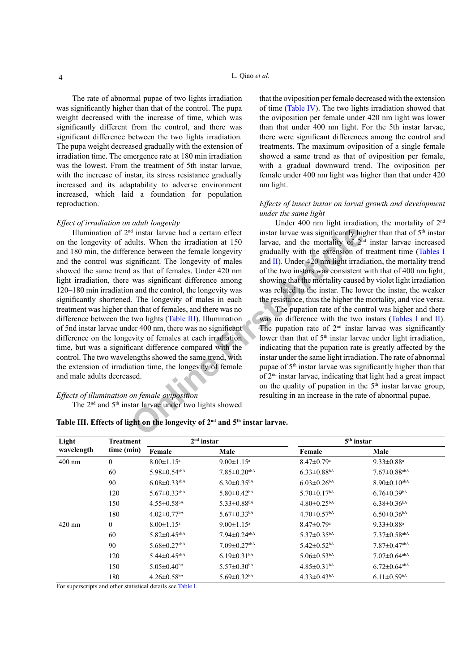The rate of abnormal pupae of two lights irradiation was significantly higher than that of the control. The pupa weight decreased with the increase of time, which was significantly different from the control, and there was significant difference between the two lights irradiation. The pupa weight decreased gradually with the extension of irradiation time. The emergence rate at 180 min irradiation was the lowest. From the treatment of 5th instar larvae, with the increase of instar, its stress resistance gradually increased and its adaptability to adverse environment increased, which laid a foundation for population reproduction.

#### *Effect of irradiation on adult longevity*

<sup>d</sup> instar larvae had a certain effect<br>
instar larvae was significantly higults. When the irradiation at 150<br>
increase between the female longevity<br>
incense between the female longevity<br>
and II). Under 420 nm light irradi Illumination of 2nd instar larvae had a certain effect on the longevity of adults. When the irradiation at 150 and 180 min, the difference between the female longevity and the control was significant. The longevity of males showed the same trend as that of females. Under 420 nm light irradiation, there was significant difference among 120–180 min irradiation and the control, the longevity was significantly shortened. The longevity of males in each treatment was higher than that of females, and there was no difference between the two lights (Table III). Illumination of 5nd instar larvae under 400 nm, there was no significant difference on the longevity of females at each irradiation time, but was a significant difference compared with the control. The two wavelengths showed the same trend, with the extension of irradiation time, the longevity of female and male adults decreased.

## *Effects of illumination on female oviposition* The 2<sup>nd</sup> and 5<sup>th</sup> instar larvae under two lights showed

that the oviposition per female decreased with the extension of time [\(Table IV\)](#page-4-0). The two lights irradiation showed that the oviposition per female under 420 nm light was lower than that under 400 nm light. For the 5th instar larvae, there were significant differences among the control and treatments. The maximum oviposition of a single female showed a same trend as that of oviposition per female, with a gradual downward trend. The oviposition per female under 400 nm light was higher than that under 420 nm light.

#### *Effects of insect instar on larval growth and development under the same light*

Under 400 nm light irradiation, the mortality of 2<sup>nd</sup> instar larvae was significantly higher than that of  $5<sup>th</sup>$  instar larvae, and the mortality of  $2<sup>nd</sup>$  instar larvae increased gradually with the extension of treatment time ([Tables I](#page-2-0) and II). Under 420 nm light irradiation, the mortality trend of the two instars was consistent with that of 400 nm light, showing that the mortality caused by violet light irradiation was related to the instar. The lower the instar, the weaker the resistance, thus the higher the mortality, and vice versa.

The pupation rate of the control was higher and there was no difference with the two instars ([Tables I](#page-2-0) and [II](#page-2-1)). The pupation rate of  $2<sup>nd</sup>$  instar larvae was significantly lower than that of 5<sup>th</sup> instar larvae under light irradiation, indicating that the pupation rate is greatly affected by the instar under the same light irradiation. The rate of abnormal pupae of 5th instar larvae was significantly higher than that of 2nd instar larvae, indicating that light had a great impact on the quality of pupation in the  $5<sup>th</sup>$  instar larvae group, resulting in an increase in the rate of abnormal pupae.

<span id="page-3-0"></span>

| Table III. Effects of light on the longevity of 2 <sup>nd</sup> and 5 <sup>th</sup> instar larvae. |
|----------------------------------------------------------------------------------------------------|
|----------------------------------------------------------------------------------------------------|

| Light<br>wavelength | Treatment<br>time (min) | $2nd$ instar                   |                                | $5th$ instar                  |                                |  |  |
|---------------------|-------------------------|--------------------------------|--------------------------------|-------------------------------|--------------------------------|--|--|
|                     |                         | Female                         | Male                           | Female                        | Male                           |  |  |
| $400 \text{ nm}$    | $\mathbf{0}$            | $8.00 \pm 1.15$ <sup>a</sup>   | $9.00 \pm 1.15^{\text{a}}$     | $8.47 \pm 0.79$ <sup>a</sup>  | 9.33 $\pm$ 0.88 <sup>a</sup>   |  |  |
|                     | 60                      | $5.98 \pm 0.54$ <sup>abA</sup> | $7.85 \pm 0.20$ <sup>abA</sup> | $6.33 \pm 0.88$ <sup>bA</sup> | $7.67 \pm 0.88$ <sup>abA</sup> |  |  |
|                     | 90                      | $6.08 \pm 0.33$ <sup>abA</sup> | $6.30\pm0.35^{bA}$             | $6.03 \pm 0.26$ <sup>bA</sup> | $8.90 \pm 0.10$ <sup>abA</sup> |  |  |
|                     | 120                     | $5.67 \pm 0.33$ <sup>abA</sup> | $5.80 \pm 0.42$ <sup>bA</sup>  | $5.70 \pm 0.17$ <sup>bA</sup> | $6.76 \pm 0.39$ <sup>bA</sup>  |  |  |
|                     | 150                     | $4.55 \pm 0.58$ <sup>bA</sup>  | $5.33 \pm 0.88$ <sup>bA</sup>  | $4.80 \pm 0.25^{bA}$          | $6.38 \pm 0.36$ <sup>bA</sup>  |  |  |
|                     | 180                     | $4.02 \pm 0.77$ <sup>bA</sup>  | $5.67 \pm 0.33$ <sup>bA</sup>  | $4.70 \pm 0.57$ <sup>bA</sup> | $6.50 \pm 0.36$ <sup>bA</sup>  |  |  |
| $420 \text{ nm}$    | $\boldsymbol{0}$        | $8.00 \pm 1.15$ <sup>a</sup>   | $9.00 \pm 1.15^{\text{a}}$     | $8.47 \pm 0.79$ <sup>a</sup>  | 9.33 $\pm$ 0.88 <sup>a</sup>   |  |  |
|                     | 60                      | $5.82 \pm 0.45$ <sup>abA</sup> | $7.94 \pm 0.24$ <sup>abA</sup> | $5.37 \pm 0.35^{bA}$          | $7.37 \pm 0.58$ <sup>abA</sup> |  |  |
|                     | 90                      | $5.68 \pm 0.27$ <sup>abA</sup> | $7.09 \pm 0.27$ <sup>abA</sup> | $5.42 \pm 0.52$ <sup>bA</sup> | $7.87 \pm 0.47$ <sup>abA</sup> |  |  |
|                     | 120                     | $5.44 \pm 0.45$ <sup>abA</sup> | $6.19 \pm 0.31$ <sup>bA</sup>  | $5.06 \pm 0.53$ <sup>bA</sup> | $7.07 \pm 0.64$ <sup>abA</sup> |  |  |
|                     | 150                     | $5.05 \pm 0.40$ <sup>bA</sup>  | $5.57 \pm 0.30$ <sup>bA</sup>  | $4.85 \pm 0.31$ <sup>bA</sup> | $6.72 \pm 0.64$ <sup>abA</sup> |  |  |
|                     | 180                     | $4.26 \pm 0.58$ <sup>bA</sup>  | $5.69 \pm 0.32$ <sup>bA</sup>  | $4.33 \pm 0.43$ <sup>bA</sup> | $6.11 \pm 0.59$ <sup>bA</sup>  |  |  |

For superscripts and other statistical details see [Table I.](#page-2-0)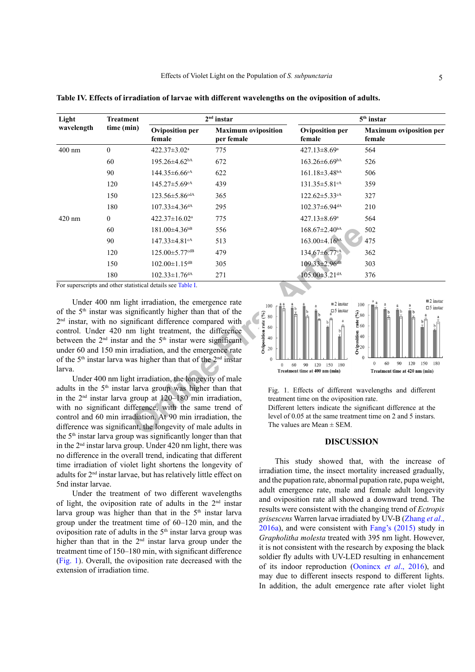| Light<br>wavelength                                                                                                                                                                                                                                                                                                                                                                    | <b>Treatment</b> | $2nd$ instar                                                                                                                                                                                                                                                                                                                                                                                                                                                                           |                                          |                                                                           |                                                                                                                                                                                        | $5th$ instar                                                                                                                                                                                        |
|----------------------------------------------------------------------------------------------------------------------------------------------------------------------------------------------------------------------------------------------------------------------------------------------------------------------------------------------------------------------------------------|------------------|----------------------------------------------------------------------------------------------------------------------------------------------------------------------------------------------------------------------------------------------------------------------------------------------------------------------------------------------------------------------------------------------------------------------------------------------------------------------------------------|------------------------------------------|---------------------------------------------------------------------------|----------------------------------------------------------------------------------------------------------------------------------------------------------------------------------------|-----------------------------------------------------------------------------------------------------------------------------------------------------------------------------------------------------|
|                                                                                                                                                                                                                                                                                                                                                                                        | time (min)       | <b>Oviposition per</b><br>female                                                                                                                                                                                                                                                                                                                                                                                                                                                       | <b>Maximum oviposition</b><br>per female |                                                                           | <b>Oviposition per</b><br>female                                                                                                                                                       | <b>Maximum</b> oviposition per<br>female                                                                                                                                                            |
| $400$ nm                                                                                                                                                                                                                                                                                                                                                                               | $\theta$         | 422.37±3.02 <sup>a</sup>                                                                                                                                                                                                                                                                                                                                                                                                                                                               | 775                                      |                                                                           | 427.13±8.69 <sup>a</sup>                                                                                                                                                               | 564                                                                                                                                                                                                 |
|                                                                                                                                                                                                                                                                                                                                                                                        | 60               | $195.26 \pm 4.62$ <sup>bA</sup>                                                                                                                                                                                                                                                                                                                                                                                                                                                        | 672                                      |                                                                           | $163.26\pm6.69^{bA}$                                                                                                                                                                   | 526                                                                                                                                                                                                 |
|                                                                                                                                                                                                                                                                                                                                                                                        | 90               | $144.35\pm 6.66$ cA                                                                                                                                                                                                                                                                                                                                                                                                                                                                    | 622                                      |                                                                           | $161.18 \pm 3.48$ <sup>bA</sup>                                                                                                                                                        | 506                                                                                                                                                                                                 |
|                                                                                                                                                                                                                                                                                                                                                                                        | 120              | 145.27±5.69 <sup>cA</sup>                                                                                                                                                                                                                                                                                                                                                                                                                                                              | 439                                      |                                                                           | 131.35±5.81 <sup>cA</sup>                                                                                                                                                              | 359                                                                                                                                                                                                 |
|                                                                                                                                                                                                                                                                                                                                                                                        | 150              | 123.56±5.86 <sup>cdA</sup>                                                                                                                                                                                                                                                                                                                                                                                                                                                             | 365                                      |                                                                           | $122.62 \pm 5.33$ cA                                                                                                                                                                   | 327                                                                                                                                                                                                 |
|                                                                                                                                                                                                                                                                                                                                                                                        | 180              | $107.33 \pm 4.36$ <sup>dA</sup>                                                                                                                                                                                                                                                                                                                                                                                                                                                        | 295                                      |                                                                           | $102.37\pm 6.94$ <sup>dA</sup>                                                                                                                                                         | 210                                                                                                                                                                                                 |
| 420 nm                                                                                                                                                                                                                                                                                                                                                                                 | $\overline{0}$   | 422.37±16.02 <sup>a</sup>                                                                                                                                                                                                                                                                                                                                                                                                                                                              | 775                                      |                                                                           | 427.13±8.69 <sup>a</sup>                                                                                                                                                               | 564                                                                                                                                                                                                 |
|                                                                                                                                                                                                                                                                                                                                                                                        | 60               | 181.00±4.36 <sup>bB</sup>                                                                                                                                                                                                                                                                                                                                                                                                                                                              | 556                                      |                                                                           | $168.67 \pm 2.40^{bA}$                                                                                                                                                                 | 502                                                                                                                                                                                                 |
|                                                                                                                                                                                                                                                                                                                                                                                        | 90               | 147.33±4.81cA                                                                                                                                                                                                                                                                                                                                                                                                                                                                          | 513                                      |                                                                           | $163.00\pm4.16^{bA}$                                                                                                                                                                   | 475                                                                                                                                                                                                 |
|                                                                                                                                                                                                                                                                                                                                                                                        | 120              | 125.00±5.77 <sup>cdB</sup>                                                                                                                                                                                                                                                                                                                                                                                                                                                             | 479                                      |                                                                           | 134.67±6.77cA                                                                                                                                                                          | 362                                                                                                                                                                                                 |
|                                                                                                                                                                                                                                                                                                                                                                                        | 150              | $102.00 \pm 1.15$ <sup>dB</sup>                                                                                                                                                                                                                                                                                                                                                                                                                                                        | 305                                      |                                                                           | $109.33 \pm 2.96$ dB                                                                                                                                                                   | 303                                                                                                                                                                                                 |
|                                                                                                                                                                                                                                                                                                                                                                                        | 180              | $102.33 \pm 1.76$ <sup>dA</sup>                                                                                                                                                                                                                                                                                                                                                                                                                                                        | 271                                      |                                                                           | $105.00 \pm 3.21$ <sup>dA</sup>                                                                                                                                                        | 376                                                                                                                                                                                                 |
|                                                                                                                                                                                                                                                                                                                                                                                        |                  | For superscripts and other statistical details see Table I.                                                                                                                                                                                                                                                                                                                                                                                                                            |                                          |                                                                           |                                                                                                                                                                                        |                                                                                                                                                                                                     |
|                                                                                                                                                                                                                                                                                                                                                                                        |                  | Under 400 nm light irradiation, the emergence rate<br>of the 5 <sup>th</sup> instar was significantly higher than that of the<br>2 <sup>nd</sup> instar, with no significant difference compared with<br>control. Under 420 nm light treatment, the difference<br>between the $2nd$ instar and the $5th$ instar were significant<br>under 60 and 150 min irradiation, and the emergence rate<br>of the 5 <sup>th</sup> instar larva was higher than that of the 2 <sup>nd</sup> instar |                                          | 100<br>Oviposition rate (%)<br>80<br>60<br>40<br>$20\,$<br>$\Omega$       | $\blacksquare$ 2 instar<br>$\square$ 5 instar                                                                                                                                          | $\equiv$ 2 instar<br>100<br>$\Box$ 5 instar<br>$\begin{array}{l} \circledast\circledast\circledast\\ \bullet\bullet\circledast\circledast\circledast\circledast \end{array}$<br>Oviposition<br>$20$ |
| larva.                                                                                                                                                                                                                                                                                                                                                                                 |                  |                                                                                                                                                                                                                                                                                                                                                                                                                                                                                        |                                          | $\overline{0}$                                                            | 60<br>90<br>120 150 180<br>Treatment time at 400 nm (min)                                                                                                                              | $\boldsymbol{0}$<br>60<br>90<br>120 150 180<br>Treatment time at 420 nm (min)                                                                                                                       |
| Under 400 nm light irradiation, the longevity of male<br>adults in the 5 <sup>th</sup> instar larva group was higher than that<br>in the $2nd$ instar larva group at $120-180$ min irradiation,<br>with no significant difference, with the same trend of<br>control and 60 min irradiation. At 90 min irradiation, the<br>difference was significant, the longevity of male adults in |                  |                                                                                                                                                                                                                                                                                                                                                                                                                                                                                        |                                          | treatment time on the oviposition rate.<br>The values are Mean $\pm$ SEM. | Fig. 1. Effects of different wavelengths and different<br>Different letters indicate the significant difference at the<br>level of 0.05 at the same treatment time on 2 and 5 instars. |                                                                                                                                                                                                     |

<span id="page-4-0"></span>**Table IV. Effects of irradiation of larvae with different wavelengths on the oviposition of adults.**

Under 400 nm light irradiation, the longevity of male adults in the 5th instar larva group was higher than that in the  $2<sup>nd</sup>$  instar larva group at  $120-180$  min irradiation, with no significant difference, with the same trend of control and 60 min irradiation. At 90 min irradiation, the difference was significant, the longevity of male adults in the  $5<sup>th</sup>$  instar larva group was significantly longer than that in the  $2<sup>nd</sup>$  instar larva group. Under 420 nm light, there was no difference in the overall trend, indicating that different time irradiation of violet light shortens the longevity of adults for 2nd instar larvae, but has relatively little effect on 5nd instar larvae.

Under the treatment of two different wavelengths of light, the oviposition rate of adults in the  $2<sup>nd</sup>$  instar larva group was higher than that in the  $5<sup>th</sup>$  instar larva group under the treatment time of 60–120 min, and the oviposition rate of adults in the  $5<sup>th</sup>$  instar larva group was higher than that in the  $2<sup>nd</sup>$  instar larva group under the treatment time of 150–180 min, with significant difference [\(Fig. 1](#page-4-1)). Overall, the oviposition rate decreased with the extension of irradiation time.



<span id="page-4-1"></span>Fig. 1. Effects of different wavelengths and different treatment time on the oviposition rate.

## **DISCUSSION**

This study showed that, with the increase of irradiation time, the insect mortality increased gradually, and the pupation rate, abnormal pupation rate, pupa weight, adult emergence rate, male and female adult longevity and oviposition rate all showed a downward trend. The results were consistent with the changing trend of *Ectropis grisescens* Warren larvae irradiated by UV-B [\(Zhang](#page-6-14) *et al*., [2016a](#page-6-14)), and were consistent with [Fang's \(2015\)](#page-5-7) study in *Grapholitha molesta* treated with 395 nm light. However, it is not consistent with the research by exposing the black soldier fly adults with UV-LED resulting in enhancement of its indoor reproduction (Oonincx *et al*., 2016), and may due to different insects respond to different lights. In addition, the adult emergence rate after violet light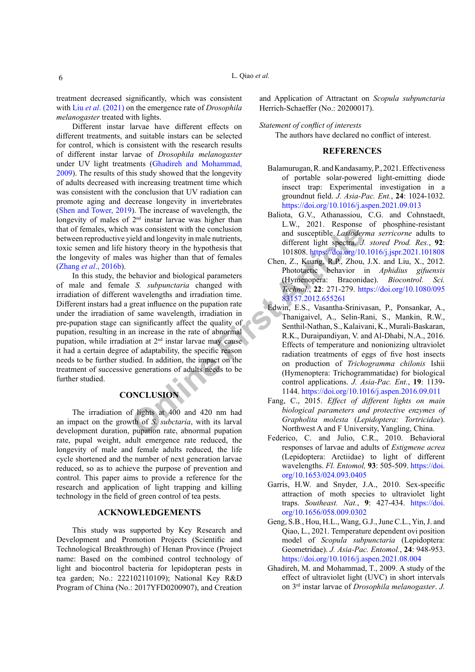treatment decreased significantly, which was consistent with Liu *et al*[. \(2021\)](#page-6-11) on the emergence rate of *Drosophila melanogaster* treated with lights.

Different instar larvae have different effects on different treatments, and suitable instars can be selected for control, which is consistent with the research results of different instar larvae of *Drosophila melanogaster* under UV light treatments ([Ghadireh and Mohammad,](#page-5-8) [2009\)](#page-5-8). The results of this study showed that the longevity of adults decreased with increasing treatment time which was consistent with the conclusion that UV radiation can promote aging and decrease longevity in invertebrates [\(Shen and Tower, 2019](#page-6-17)). The increase of wavelength, the longevity of males of  $2<sup>nd</sup>$  instar larvae was higher than that of females, which was consistent with the conclusion between reproductive yield and longevity in male nutrients, toxic semen and life history theory in the hypothesis that the longevity of males was higher than that of females (Zhang *et al*[., 2016b](#page-6-18)).

was consis[t](https://doi.org/10.1080/09583157.2012.655261)ent with the conclusion<br>
ield and longevity in male nutrients,<br>
ield and longevity in male nutrients,<br>
and susceptible *Lasioder*<br>
of serves in the hypothesis that<br> *Ohen, Z.*, Vauaring, R.P., Vauaring, R.P.<br>
2. In this study, the behavior and biological parameters of male and female *S. subpunctaria* changed with irradiation of different wavelengths and irradiation time. Different instars had a great influence on the pupation rate under the irradiation of same wavelength, irradiation in pre-pupation stage can significantly affect the quality of pupation, resulting in an increase in the rate of abnormal pupation, while irradiation at 2<sup>nd</sup> instar larvae may cause it had a certain degree of adaptability, the specific reason needs to be further studied. In addition, the impact on the treatment of successive generations of adults needs to be further studied.

# **CONCLUSION**

The irradiation of lights at 400 and 420 nm had an impact on the growth of *S. subctaria*, with its larval development duration, pupation rate, abnormal pupation rate, pupal weight, adult emergence rate reduced, the longevity of male and female adults reduced, the life cycle shortened and the number of next generation larvae reduced, so as to achieve the purpose of prevention and control. This paper aims to provide a reference for the research and application of light trapping and killing technology in the field of green control of tea pests.

#### **ACKNOWLEDGEMENTS**

This study was supported by Key Research and Development and Promotion Projects (Scientific and Technological Breakthrough) of Henan Province (Project name: Based on the combined control technology of light and biocontrol bacteria for lepidopteran pests in tea garden; No.: 222102110109); National Key R&D Program of China (No.: 2017YFD0200907), and Creation

and Application of Attractant on *Scopula subpunctaria* Herrich-Schaeffer (No.: 20200017).

#### *Statement of conflict of interests*

The authors have declared no conflict of interest.

## **REFERENCES**

- <span id="page-5-3"></span>Balamurugan, R. and Kandasamy, P., 2021. Effectiveness of portable solar-powered light-emitting diode insect trap: Experimental investigation in a groundnut field. *J. Asia-Pac. Ent.*, **24**: 1024-1032. <https://doi.org/10.1016/j.aspen.2021.09.013>
- <span id="page-5-5"></span>Baliota, G.V., Athanassiou, C.G. and Cohnstaedt, L.W., 2021. Response of phosphine-resistant and susceptible *Lasioderma serricorne* adults to different light spectra. *J. stored Prod. Res.*, **92**: 101808. <https://doi.org/10.1016/j.jspr.2021.101808>
- <span id="page-5-4"></span>Chen, Z., Kuang, R.P., Zhou, J.X. and Liu, X., 2012. Phototactic behavior in *Aphidius gifuensis* (Hymenopera: Braconidae). *Biocontrol. Sci. Technol.*, **22**: 271-279. [https://doi.org/10.1080/095](https://doi.org/10.1080/09583157.2012.655261) 83157.2012.655261
- <span id="page-5-6"></span>Edwin, E.S., Vasantha-Srinivasan, P., Ponsankar, A., Thanigaivel, A., Selin-Rani, S., Mankin, R.W., Senthil-Nathan, S., Kalaivani, K., Murali-Baskaran, R.K., Duraipandiyan, V. and Al-Dhabi, N.A., 2016. Effects of temperature and nonionizing ultraviolet radiation treatments of eggs of five host insects on production of *Trichogramma chilonis* Ishii (Hymenoptera: Trichogrammatidae) for biological control applications. *J. Asia-Pac. Ent.*, **19**: 1139- 1144. <https://doi.org/10.1016/j.aspen.2016.09.011>
- <span id="page-5-7"></span>Fang, C., 2015. *Effect of different lights on main biological parameters and protective enzymes of Grapholita molesta* (*Lepidoptera: Tortricidae*). Northwest A and F University, Yangling, China.
- <span id="page-5-1"></span>Federico, C. and Julio, C.R., 2010. Behavioral responses of larvae and adults of *Estigmene acrea* (Lepidoptera: Arctiidae) to light of different wavelengths. *Fl. Entomol,* **93**: 505-509. [https://doi.](https://doi.org/10.1653/024.093.0405) [org/10.1653/024.093.0405](https://doi.org/10.1653/024.093.0405)
- <span id="page-5-2"></span>Garris, H.W. and Snyder, J.A., 2010. Sex-specific attraction of moth species to ultraviolet light traps. *Southeast. Nat.*, **9**: 427-434. [https://doi.](https://doi.org/10.1656/058.009.0302) [org/10.1656/058.009.0302](https://doi.org/10.1656/058.009.0302)
- <span id="page-5-0"></span>Geng, S.B., Hou, H.L., Wang, G.J., June C.L., Yin, J. and Qiao, L., 2021. Temperature dependent ovi position model of *Scopula subpunctaria* (Lepidoptera: Geometridae). *J. Asia-Pac. Entomol.*, **24**: 948-953. <https://doi.org/10.1016/j.aspen.2021.08.004>
- <span id="page-5-8"></span>Ghadireh, M. and Mohammad, T., 2009. A study of the effect of ultraviolet light (UVC) in short intervals on 3rd instar larvae of *Drosophila melanogaster*. *J.*